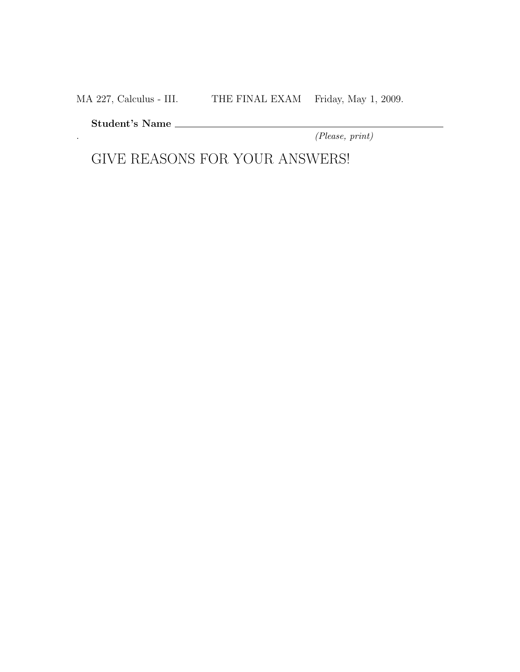MA 227, Calculus - III. THE FINAL EXAM Friday, May 1, 2009.

Student's Name

. (Please, print)

GIVE REASONS FOR YOUR ANSWERS!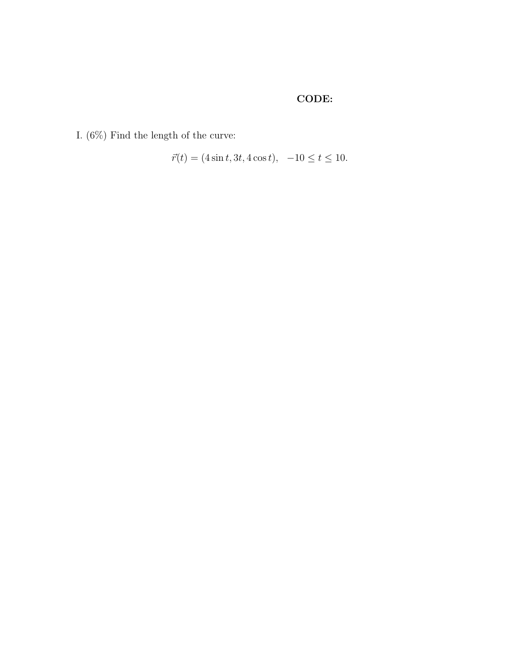## CODE:

I.  $(6\%)$  Find the length of the curve:

$$
\vec{r}(t) = (4\sin t, 3t, 4\cos t), -10 \le t \le 10.
$$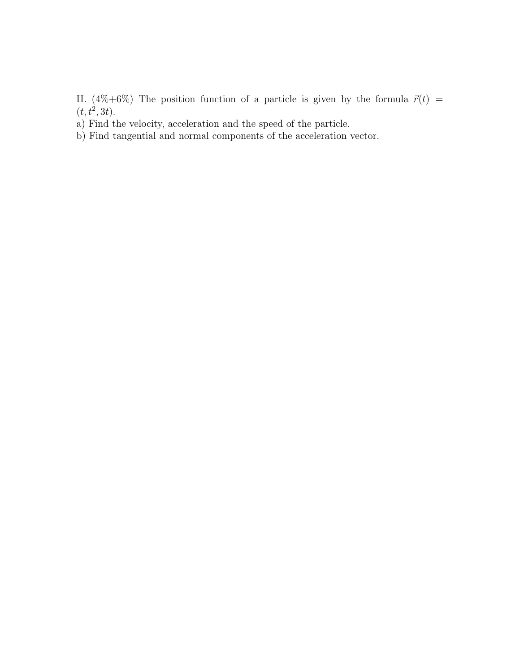II. (4%+6%) The position function of a particle is given by the formula  $\vec{r}(t)$  =  $(t, t^2, 3t).$ 

a) Find the velocity, acceleration and the speed of the particle.

b) Find tangential and normal components of the acceleration vector.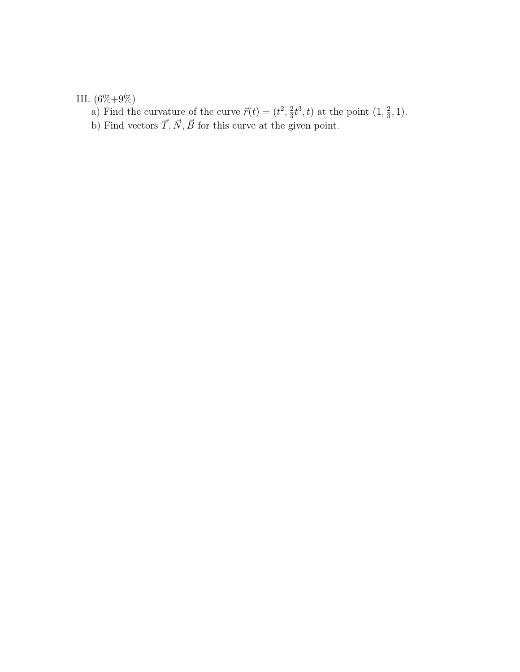## III.  $(6\% + 9\%)$

a) Find the curvature of the curve  $\vec{r}(t) = (t^2, \frac{2}{3})$  $\frac{2}{3}t^3$ , t) at the point  $(1, \frac{2}{3})$  $\frac{2}{3}, 1$ ).

b) Find vectors  $\vec{T}, \vec{N}, \vec{B}$  for this curve at the given point.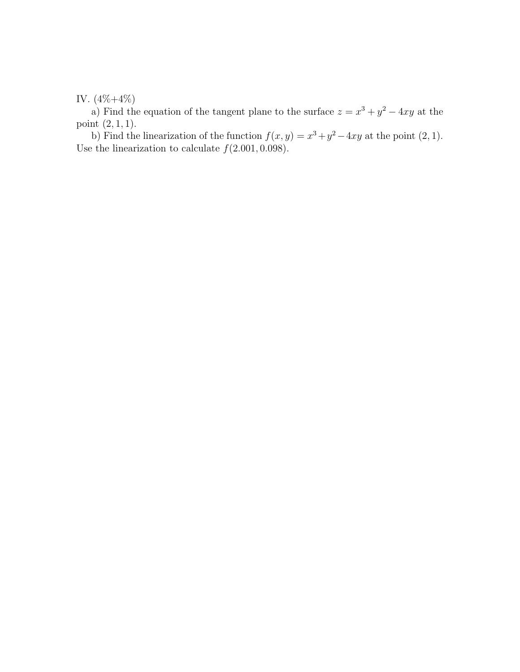IV. (4%+4%)

a) Find the equation of the tangent plane to the surface  $z = x^3 + y^2 - 4xy$  at the point (2, 1, 1).

b) Find the linearization of the function  $f(x, y) = x^3 + y^2 - 4xy$  at the point  $(2, 1)$ . Use the linearization to calculate  $f(2.001, 0.098)$ .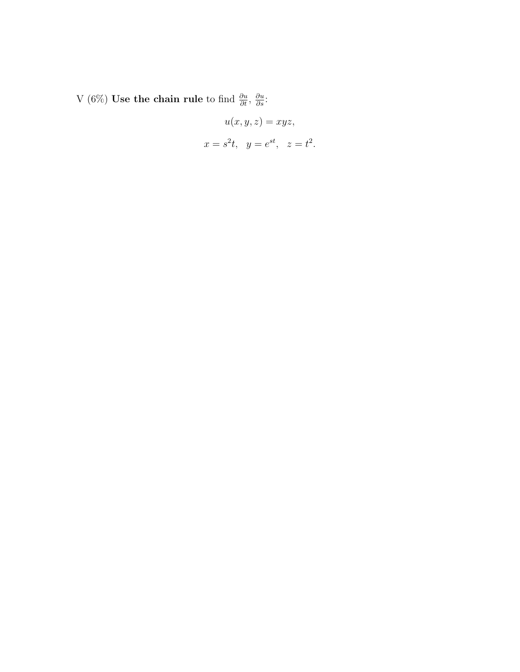V (6%) Use the chain rule to find  $\frac{\partial u}{\partial t}$ ,  $\frac{\partial u}{\partial s}$ :

$$
u(x, y, z) = xyz,
$$
  

$$
x = s2t, y = est, z = t2.
$$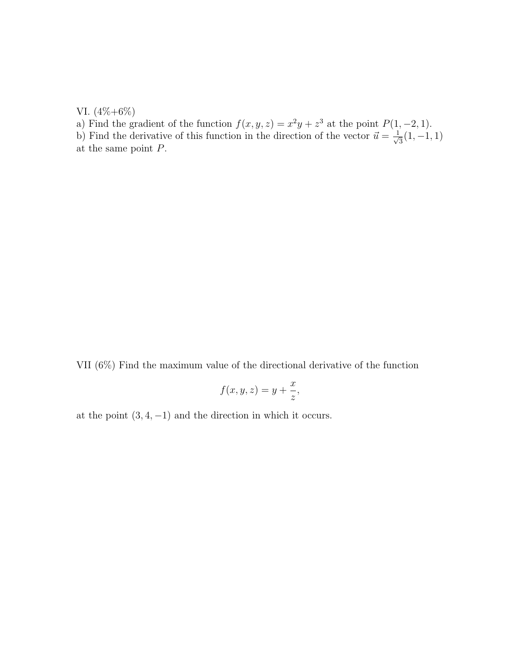VI. (4%+6%)

a) Find the gradient of the function  $f(x, y, z) = x^2y + z^3$  at the point  $P(1, -2, 1)$ .

b) Find the derivative of this function in the direction of the vector  $\vec{u} = \frac{1}{\sqrt{2}}$  $\frac{1}{3}(1,-1,1)$ at the same point P.

VII (6%) Find the maximum value of the directional derivative of the function

$$
f(x, y, z) = y + \frac{x}{z},
$$

at the point  $(3, 4, -1)$  and the direction in which it occurs.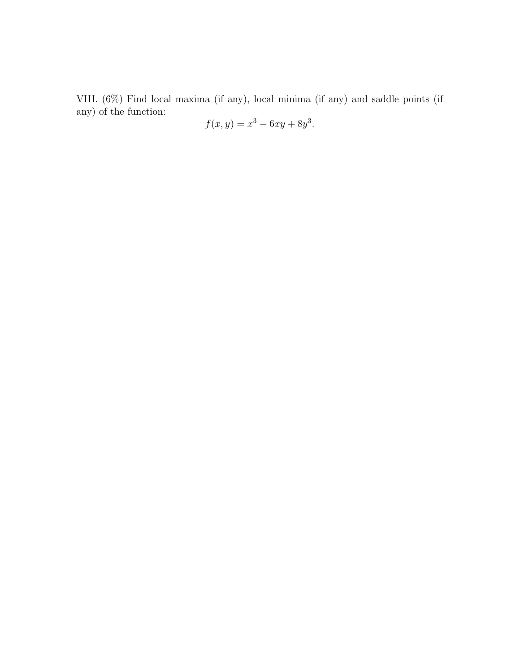VIII. (6%) Find local maxima (if any), local minima (if any) and saddle points (if any) of the function:

$$
f(x,y) = x^3 - 6xy + 8y^3.
$$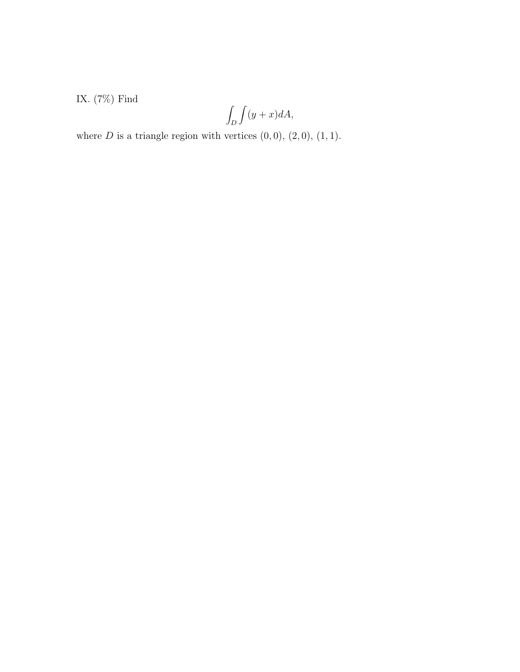IX. $(7\%)$  Find

$$
\int_D \int (y+x)dA,
$$

where  $D$  is a triangle region with vertices  $(0,0)$ ,  $(2,0)$ ,  $(1,1)$ .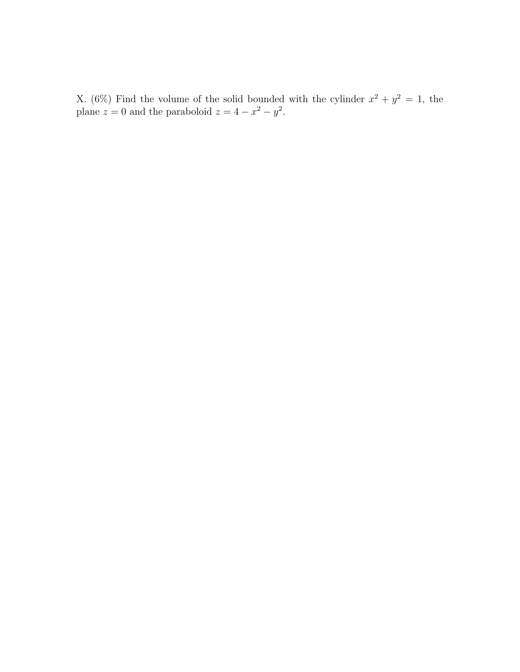X. (6%) Find the volume of the solid bounded with the cylinder  $x^2 + y^2 = 1$ , the plane  $z = 0$  and the paraboloid  $z = 4 - x^2 - y^2$ .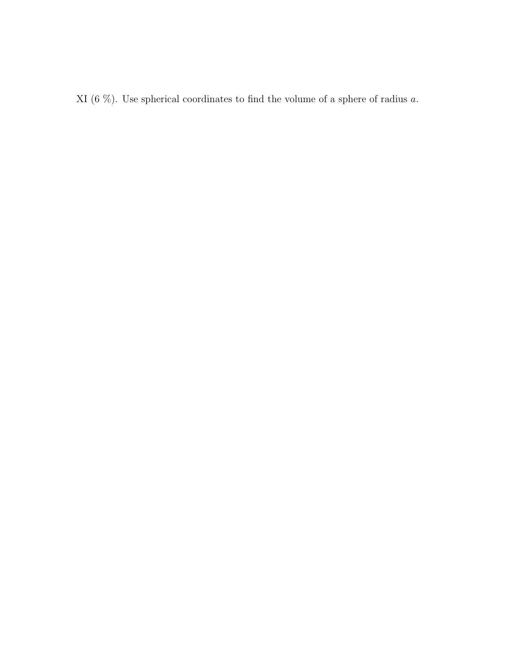XI (6  $\%$ ). Use spherical coordinates to find the volume of a sphere of radius  $a$ .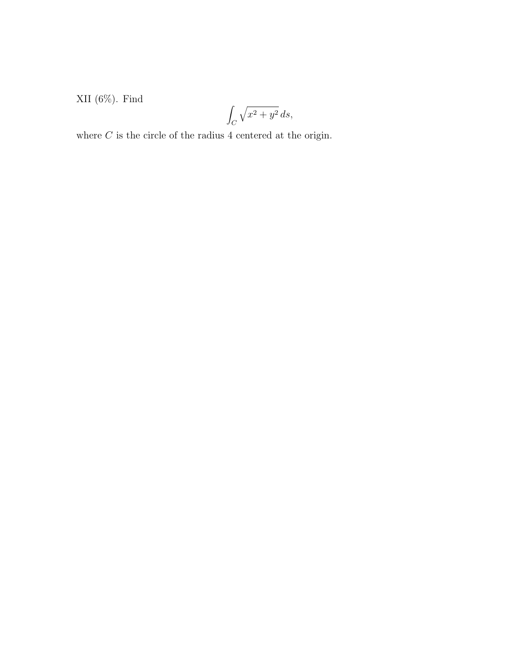XII (6%). Find

$$
\int_C \sqrt{x^2 + y^2} \, ds,
$$

where  ${\cal C}$  is the circle of the radius 4 centered at the origin.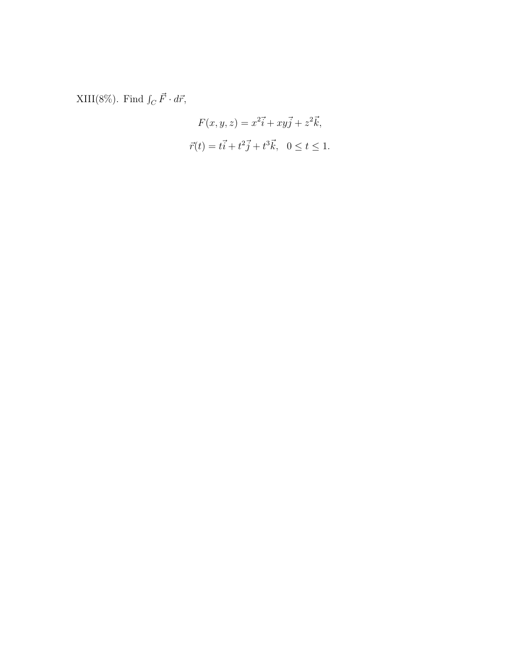XIII(8%). Find  $\int_C \vec{F} \cdot d\vec{r}$ ,

$$
F(x, y, z) = x^{2}\vec{i} + xy\vec{j} + z^{2}\vec{k},
$$
  

$$
\vec{r}(t) = t\vec{i} + t^{2}\vec{j} + t^{3}\vec{k}, \quad 0 \le t \le 1.
$$